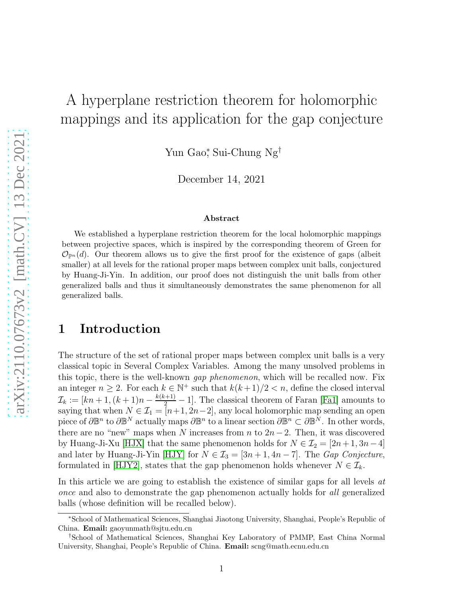# A hyperplane restriction theorem for holomorphic mappings and its application for the gap conjecture

Yun Gao<sup>∗</sup> , Sui-Chung Ng†

December 14, 2021

#### Abstract

We established a hyperplane restriction theorem for the local holomorphic mappings between projective spaces, which is inspired by the corresponding theorem of Green for  $\mathcal{O}_{\mathbb{P}^n}(d)$ . Our theorem allows us to give the first proof for the existence of gaps (albeit smaller) at all levels for the rational proper maps between complex unit balls, conjectured by Huang-Ji-Yin. In addition, our proof does not distinguish the unit balls from other generalized balls and thus it simultaneously demonstrates the same phenomenon for all generalized balls.

## 1 Introduction

The structure of the set of rational proper maps between complex unit balls is a very classical topic in Several Complex Variables. Among the many unsolved problems in this topic, there is the well-known *gap phenomenon*, which will be recalled now. Fix an integer  $n \geq 2$ . For each  $k \in \mathbb{N}^+$  such that  $k(k+1)/2 < n$ , define the closed interval  $\mathcal{I}_k := [kn+1, (k+1)n - \frac{k(k+1)}{2} - 1]$ . The classical theorem of Faran [\[Fa1\]](#page-11-0) amounts to saying that when  $N \in \mathcal{I}_1 = [n+1, 2n-2]$ , any local holomorphic map sending an open piece of  $\partial \mathbb{B}^n$  to  $\partial \mathbb{B}^N$  actually maps  $\partial \mathbb{B}^n$  to a linear section  $\partial \mathbb{B}^n \subset \partial \mathbb{B}^N$ . In other words, there are no "new" maps when N increases from n to  $2n-2$ . Then, it was discovered by Huang-Ji-Xu [\[HJX\]](#page-11-1) that the same phenomenon holds for  $N \in \mathcal{I}_2 = [2n+1, 3n-4]$ and later by Huang-Ji-Yin [\[HJY\]](#page-11-2) for  $N \in \mathcal{I}_3 = [3n+1, 4n-7]$ . The *Gap Conjecture*, formulated in [\[HJY2\]](#page-11-3), states that the gap phenomenon holds whenever  $N \in \mathcal{I}_k$ .

In this article we are going to establish the existence of similar gaps for all levels at once and also to demonstrate the gap phenomenon actually holds for all generalized balls (whose definition will be recalled below).

<sup>∗</sup>School of Mathematical Sciences, Shanghai Jiaotong University, Shanghai, People's Republic of China. Email: gaoyunmath@sjtu.edu.cn

<sup>†</sup>School of Mathematical Sciences, Shanghai Key Laboratory of PMMP, East China Normal University, Shanghai, People's Republic of China. **Email:** scng@math.ecnu.edu.cn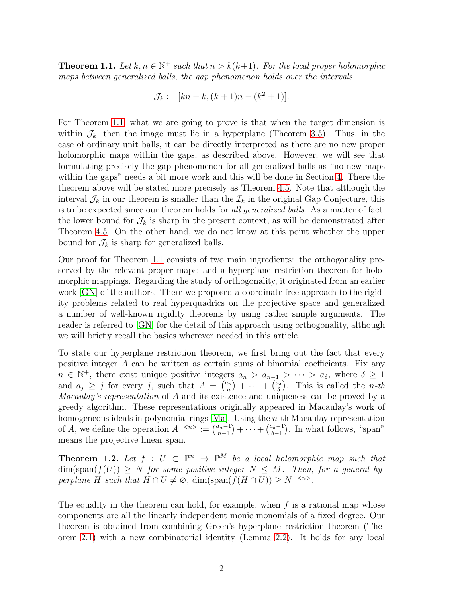<span id="page-1-0"></span>**Theorem 1.1.** Let  $k, n \in \mathbb{N}^+$  such that  $n > k(k+1)$ . For the local proper holomorphic maps between generalized balls, the gap phenomenon holds over the intervals

$$
\mathcal{J}_k := [kn + k, (k+1)n - (k^2 + 1)].
$$

For Theorem [1.1,](#page-1-0) what we are going to prove is that when the target dimension is within  $\mathcal{J}_k$ , then the image must lie in a hyperplane (Theorem [3.5\)](#page-6-0). Thus, in the case of ordinary unit balls, it can be directly interpreted as there are no new proper holomorphic maps within the gaps, as described above. However, we will see that formulating precisely the gap phenomenon for all generalized balls as "no new maps within the gaps" needs a bit more work and this will be done in Section [4.](#page-8-0) There the theorem above will be stated more precisely as Theorem [4.5.](#page-9-0) Note that although the interval  $\mathcal{J}_k$  in our theorem is smaller than the  $\mathcal{I}_k$  in the original Gap Conjecture, this is to be expected since our theorem holds for all generalized balls. As a matter of fact, the lower bound for  $\mathcal{J}_k$  is sharp in the present context, as will be demonstrated after Theorem [4.5.](#page-9-0) On the other hand, we do not know at this point whether the upper bound for  $\mathcal{J}_k$  is sharp for generalized balls.

Our proof for Theorem [1.1](#page-1-0) consists of two main ingredients: the orthogonality preserved by the relevant proper maps; and a hyperplane restriction theorem for holomorphic mappings. Regarding the study of orthogonality, it originated from an earlier work [\[GN\]](#page-11-4) of the authors. There we proposed a coordinate free approach to the rigidity problems related to real hyperquadrics on the projective space and generalized a number of well-known rigidity theorems by using rather simple arguments. The reader is referred to [\[GN\]](#page-11-4) for the detail of this approach using orthogonality, although we will briefly recall the basics wherever needed in this article.

To state our hyperplane restriction theorem, we first bring out the fact that every positive integer A can be written as certain sums of binomial coefficients. Fix any  $n \in \mathbb{N}^+$ , there exist unique positive integers  $a_n > a_{n-1} > \cdots > a_{\delta}$ , where  $\delta \geq 1$ and  $a_j \geq j$  for every j, such that  $A = \binom{a_n}{n}$  ${n \choose n} + \cdots + {a_\delta \choose \delta}$  $\binom{a_{\delta}}{\delta}$ . This is called the *n*-th Macaulay's representation of A and its existence and uniqueness can be proved by a greedy algorithm. These representations originally appeared in Macaulay's work of homogeneous ideals in polynomial rings  $[Ma]$ . Using the *n*-th Macaulay representation of A, we define the operation  $A^{-\langle n \rangle} := \begin{bmatrix} a_{n-1} \\ n-1 \end{bmatrix}$  $\binom{n-1}{n-1} + \cdots + \binom{a_{\delta}-1}{\delta-1}$  $\binom{a_{\delta}-1}{\delta-1}$ . In what follows, "span" means the projective linear span.

<span id="page-1-1"></span>**Theorem 1.2.** Let  $f : U \subset \mathbb{P}^n \to \mathbb{P}^M$  be a local holomorphic map such that  $\dim(\text{span}(f(U)) \geq N$  for some positive integer  $N \leq M$ . Then, for a general hyperplane H such that  $H \cap U \neq \emptyset$ , dim(span( $f(H \cap U)$ ) ≥ N<sup>-<n></sup>.

The equality in the theorem can hold, for example, when  $f$  is a rational map whose components are all the linearly independent monic monomials of a fixed degree. Our theorem is obtained from combining Green's hyperplane restriction theorem (Theorem [2.1\)](#page-2-0) with a new combinatorial identity (Lemma [2.2\)](#page-3-0). It holds for any local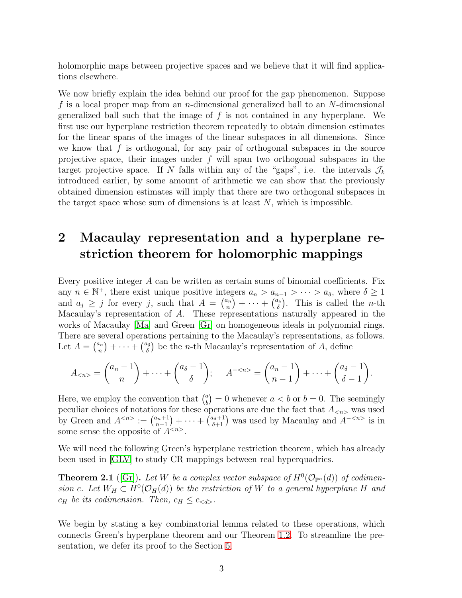holomorphic maps between projective spaces and we believe that it will find applications elsewhere.

We now briefly explain the idea behind our proof for the gap phenomenon. Suppose f is a local proper map from an *n*-dimensional generalized ball to an  $N$ -dimensional generalized ball such that the image of  $f$  is not contained in any hyperplane. We first use our hyperplane restriction theorem repeatedly to obtain dimension estimates for the linear spans of the images of the linear subspaces in all dimensions. Since we know that  $f$  is orthogonal, for any pair of orthogonal subspaces in the source projective space, their images under  $f$  will span two orthogonal subspaces in the target projective space. If N falls within any of the "gaps", i.e. the intervals  $\mathcal{J}_k$ introduced earlier, by some amount of arithmetic we can show that the previously obtained dimension estimates will imply that there are two orthogonal subspaces in the target space whose sum of dimensions is at least  $N$ , which is impossible.

# 2 Macaulay representation and a hyperplane restriction theorem for holomorphic mappings

Every positive integer A can be written as certain sums of binomial coefficients. Fix any  $n \in \mathbb{N}^+$ , there exist unique positive integers  $a_n > a_{n-1} > \cdots > a_{\delta}$ , where  $\delta \geq 1$ and  $a_j \geq j$  for every j, such that  $A = \binom{a_n}{n}$  ${n\choose n} + \cdots + {a_\delta\choose \delta}$  $\binom{u_{\delta}}{\delta}$ . This is called the *n*-th Macaulay's representation of A. These representations naturally appeared in the works of Macaulay [\[Ma\]](#page-12-0) and Green [\[Gr\]](#page-11-5) on homogeneous ideals in polynomial rings. There are several operations pertaining to the Macaulay's representations, as follows. Let  $A = \binom{a_n}{n}$  ${n \choose n} + \cdots + {a_{\delta} \choose \delta}$  $\binom{a_{\delta}}{\delta}$  be the *n*-th Macaulay's representation of *A*, define

$$
A_{< n>} = \binom{a_n - 1}{n} + \dots + \binom{a_{\delta} - 1}{\delta}; \qquad A_{< n>} = \binom{a_n - 1}{n - 1} + \dots + \binom{a_{\delta} - 1}{\delta - 1}.
$$

Here, we employ the convention that  $\binom{a}{b}$  $\binom{a}{b} = 0$  whenever  $a < b$  or  $b = 0$ . The seemingly peculiar choices of notations for these operations are due the fact that  $A_{\langle n \rangle}$  was used by Green and  $A^{} := \binom{a_n+1}{n+1} + \cdots + \binom{a_{\delta}+1}{\delta+1}$  was used by Macaulay and  $A^{-}$  is in some sense the opposite of  $A^{}$ .

We will need the following Green's hyperplane restriction theorem, which has already been used in [\[GLV\]](#page-11-6) to study CR mappings between real hyperquadrics.

<span id="page-2-0"></span>**Theorem 2.1** ([\[Gr\]](#page-11-5)). Let W be a complex vector subspace of  $H^0(\mathcal{O}_{\mathbb{P}^n}(d))$  of codimension c. Let  $W_H \subset H^0(\mathcal{O}_H(d))$  be the restriction of W to a general hyperplane H and  $c_H$  be its codimension. Then,  $c_H \leq c_{< d}$ .

We begin by stating a key combinatorial lemma related to these operations, which connects Green's hyperplane theorem and our Theorem [1.2.](#page-1-1) To streamline the presentation, we defer its proof to the Section [5.](#page-10-0)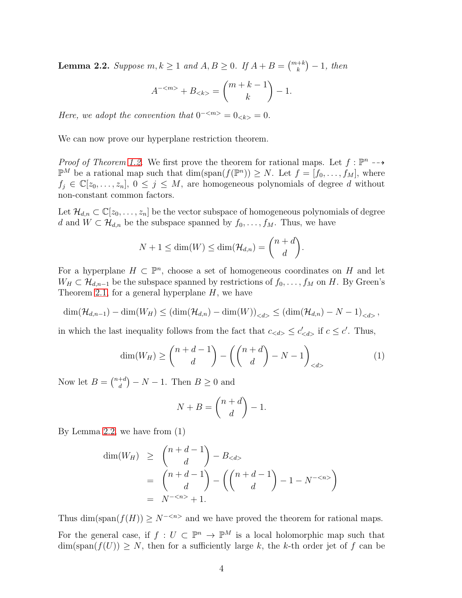<span id="page-3-0"></span>**Lemma 2.2.** Suppose  $m, k \ge 1$  and  $A, B \ge 0$ . If  $A + B = \binom{m+k}{k} - 1$ , then

$$
A^{-} + B_{} = \binom{m+k-1}{k} - 1.
$$

Here, we adopt the convention that  $0^{-\langle m \rangle} = 0_{\langle k \rangle} = 0$ .

We can now prove our hyperplane restriction theorem.

*Proof of Theorem [1.2.](#page-1-1)* We first prove the theorem for rational maps. Let  $f : \mathbb{P}^n \dashrightarrow$  $\mathbb{P}^M$  be a rational map such that  $\dim(\text{span}(f(\mathbb{P}^n)) \geq N$ . Let  $f = [f_0, \ldots, f_M]$ , where  $f_i \in \mathbb{C}[z_0,\ldots,z_n], 0 \leq j \leq M$ , are homogeneous polynomials of degree d without non-constant common factors.

Let  $\mathcal{H}_{d,n} \subset \mathbb{C}[z_0,\ldots,z_n]$  be the vector subspace of homogeneous polynomials of degree d and  $W \subset \mathcal{H}_{d,n}$  be the subspace spanned by  $f_0, \ldots, f_M$ . Thus, we have

$$
N+1 \leq \dim(W) \leq \dim(\mathcal{H}_{d,n}) = \binom{n+d}{d}.
$$

For a hyperplane  $H \subset \mathbb{P}^n$ , choose a set of homogeneous coordinates on H and let  $W_H \subset \mathcal{H}_{d,n-1}$  be the subspace spanned by restrictions of  $f_0, \ldots, f_M$  on H. By Green's Theorem [2.1,](#page-2-0) for a general hyperplane  $H$ , we have

$$
\dim(\mathcal{H}_{d,n-1}) - \dim(W_H) \leq (\dim(\mathcal{H}_{d,n}) - \dim(W))_{< d>} \leq (\dim(\mathcal{H}_{d,n}) - N - 1)_{< d>} ,
$$

in which the last inequality follows from the fact that  $c_{< d>} \leq c'_{< d>}$  if  $c \leq c'$ . Thus,

$$
\dim(W_H) \ge \binom{n+d-1}{d} - \left( \binom{n+d}{d} - N - 1 \right)_{< d>} \tag{1}
$$

Now let  $B = \binom{n+d}{d}$  $\binom{+d}{d} - N - 1$ . Then  $B \geq 0$  and

$$
N + B = \binom{n + d}{d} - 1.
$$

By Lemma [2.2,](#page-3-0) we have from (1)

$$
\dim(W_H) \ge \binom{n+d-1}{d} - B_{< d}
$$
\n
$$
= \binom{n+d-1}{d} - \left(\binom{n+d-1}{d} - 1 - N^{-< n}\right)
$$
\n
$$
= N^{-< n>} + 1.
$$

Thus dim(span( $f(H)$ ) ≥  $N^{-\langle n \rangle}$  and we have proved the theorem for rational maps.

For the general case, if  $f: U \subset \mathbb{P}^n \to \mathbb{P}^M$  is a local holomorphic map such that  $\dim(\text{span}(f(U)) \geq N$ , then for a sufficiently large k, the k-th order jet of f can be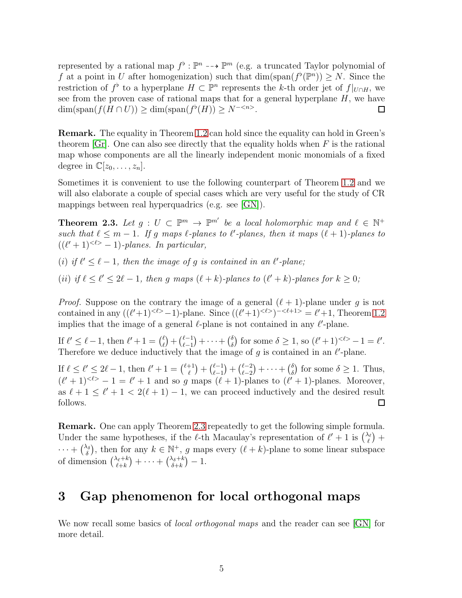represented by a rational map  $f^{\flat} : \mathbb{P}^n \dashrightarrow \mathbb{P}^m$  (e.g. a truncated Taylor polynomial of f at a point in U after homogenization) such that  $\dim(\text{span}(f^{\flat}(\mathbb{P}^n)) \geq N$ . Since the restriction of  $f^{\flat}$  to a hyperplane  $H \subset \mathbb{P}^n$  represents the k-th order jet of  $f|_{U \cap H}$ , we see from the proven case of rational maps that for a general hyperplane  $H$ , we have  $\dim(\text{span}(f(H \cap U)) \ge \dim(\text{span}(f^{\flat}(H)) \ge N^{-\langle n \rangle}).$  $\Box$ 

Remark. The equality in Theorem [1.2](#page-1-1) can hold since the equality can hold in Green's theorem [\[Gr\]](#page-11-5). One can also see directly that the equality holds when  $F$  is the rational map whose components are all the linearly independent monic monomials of a fixed degree in  $\mathbb{C}[z_0,\ldots,z_n]$ .

Sometimes it is convenient to use the following counterpart of Theorem [1.2](#page-1-1) and we will also elaborate a couple of special cases which are very useful for the study of CR mappings between real hyperquadrics (e.g. see [\[GN\]](#page-11-4)).

<span id="page-4-0"></span>**Theorem 2.3.** Let  $g: U \subset \mathbb{P}^m \to \mathbb{P}^{m'}$  be a local holomorphic map and  $\ell \in \mathbb{N}^+$ such that  $\ell \leq m-1$ . If g maps  $\ell$ -planes to  $\ell'$ -planes, then it maps  $(\ell + 1)$ -planes to  $((\ell'+1)^{<\ell>-1})$ -planes. In particular,

(i) if  $\ell' \leq \ell - 1$ , then the image of g is contained in an  $\ell'$ -plane;

(ii) if  $\ell \leq \ell' \leq 2\ell - 1$ , then g maps  $(\ell + k)$ -planes to  $(\ell' + k)$ -planes for  $k \geq 0$ ;

*Proof.* Suppose on the contrary the image of a general  $(\ell + 1)$ -plane under g is not contained in any  $((\ell'+1)^{<\ell>-1})$ -plane. Since  $((\ell'+1)^{<\ell-1})^{-<\ell+1>}=\ell'+1$ , Theorem [1.2](#page-1-1) implies that the image of a general  $\ell$ -plane is not contained in any  $\ell$ -plane.

If  $\ell' \leq \ell - 1$ , then  $\ell' + 1 = \binom{\ell}{\ell'}$  $\binom{\ell}{\ell} + \binom{\ell-1}{\ell-1}$  $\binom{\ell-1}{\ell-1} + \cdots + \binom{\delta}{\delta}$  $\delta_{\delta}$  for some  $\delta \geq 1$ , so  $(\ell'+1)^{<\ell>-1} = \ell'.$ Therefore we deduce inductively that the image of g is contained in an  $\ell$ -plane.

 $\binom{\ell-1}{\ell-1} + \binom{\ell-1}{\ell-1}$  $\binom{\ell-1}{\ell-1} + \binom{\ell-2}{\ell-2}$ If  $\ell \leq \ell' \leq 2\ell - 1$ , then  $\ell' + 1 = {\ell + 1 \choose \ell}$  $\binom{\ell-2}{\ell-2}+\cdots+\binom{\delta}{\delta}$  $\delta$ ) for some  $\delta \geq 1$ . Thus,  $(\ell'+1)^{<\ell>} - 1 = \ell' + 1$  and so g maps  $(\ell+1)$ -planes to  $(\ell'+1)$ -planes. Moreover, as  $\ell + 1 \leq \ell' + 1 < 2(\ell + 1) - 1$ , we can proceed inductively and the desired result follows.  $\Box$ 

Remark. One can apply Theorem [2.3](#page-4-0) repeatedly to get the following simple formula. Under the same hypotheses, if the  $\ell$ -th Macaulay's representation of  $\ell' + 1$  is  $\binom{\lambda_{\ell}}{\ell}$  $\binom{1}{\ell}$  +  $\cdots$  +  $\binom{\lambda_{\delta}}{\delta}$  $\lambda_{\delta}$ , then for any  $k \in \mathbb{N}^+$ , g maps every  $(\ell + k)$ -plane to some linear subspace of dimension  $\binom{\lambda_{\ell}+k}{\ell+k}$  $\binom{\lambda_\ell+k}{\ell+k}+\cdots+\binom{\lambda_\delta+k}{\delta+k}$  $\binom{\delta+k}{\delta+k}-1.$ 

## 3 Gap phenomenon for local orthogonal maps

We now recall some basics of *local orthogonal maps* and the reader can see [\[GN\]](#page-11-4) for more detail.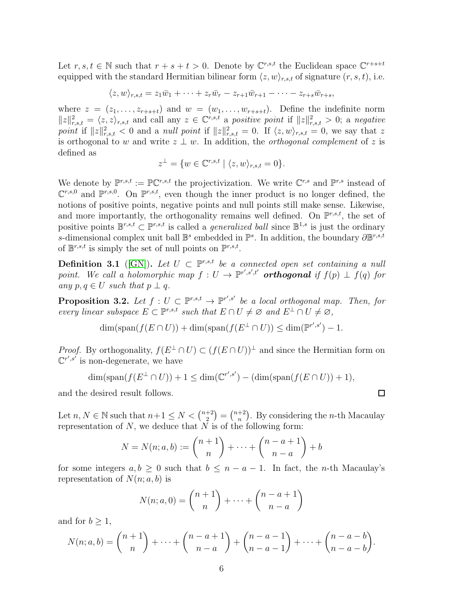Let  $r, s, t \in \mathbb{N}$  such that  $r + s + t > 0$ . Denote by  $\mathbb{C}^{r,s,t}$  the Euclidean space  $\mathbb{C}^{r+s+t}$ equipped with the standard Hermitian bilinear form  $\langle z, w \rangle_{r, s, t}$  of signature  $(r, s, t)$ , i.e.

 $\langle z, w \rangle_{r,s,t} = z_1 \bar{w}_1 + \cdots + z_r \bar{w}_r - z_{r+1} \bar{w}_{r+1} - \cdots - z_{r+s} \bar{w}_{r+s},$ 

where  $z = (z_1, \ldots, z_{r+s+t})$  and  $w = (w_1, \ldots, w_{r+s+t})$ . Define the indefinite norm  $||z||_{r,s,t}^2 = \langle z,z\rangle_{r,s,t}$  and call any  $z \in \mathbb{C}^{r,s,t}$  a positive point if  $||z||_{r,s,t}^2 > 0$ ; a negative point if  $||z||_{r,s,t}^2 < 0$  and a null point if  $||z||_{r,s,t}^2 = 0$ . If  $\langle z, w \rangle_{r,s,t} = 0$ , we say that z is orthogonal to w and write  $z \perp w$ . In addition, the *orthogonal complement* of z is defined as

$$
z^\perp=\{w\in\mathbb{C}^{r,s,t}\mid \langle z,w\rangle_{r,s,t}=0\}.
$$

We denote by  $\mathbb{P}^{r,s,t} := \mathbb{P} \mathbb{C}^{r,s,t}$  the projectivization. We write  $\mathbb{C}^{r,s}$  and  $\mathbb{P}^{r,s}$  instead of  $\mathbb{C}^{r,s,0}$  and  $\mathbb{P}^{r,s,0}$ . On  $\mathbb{P}^{r,s,t}$ , even though the inner product is no longer defined, the notions of positive points, negative points and null points still make sense. Likewise, and more importantly, the orthogonality remains well defined. On  $\mathbb{P}^{r,s,t}$ , the set of positive points  $\mathbb{B}^{r,s,t} \subset \mathbb{P}^{r,s,t}$  is called a *generalized ball* since  $\mathbb{B}^{1,s}$  is just the ordinary s-dimensional complex unit ball  $\mathbb{B}^s$  embedded in  $\mathbb{P}^s$ . In addition, the boundary  $\partial \mathbb{B}^{r,s,t}$ of  $\mathbb{B}^{r,s,t}$  is simply the set of null points on  $\mathbb{P}^{r,s,t}$ .

<span id="page-5-1"></span>**Definition 3.1** ([\[GN\]](#page-11-4)). Let  $U \subset \mathbb{P}^{r,s,t}$  be a connected open set containing a null point. We call a holomorphic map  $f: U \to \mathbb{P}^{r',s',t'}$  **orthogonal** if  $f(p) \perp f(q)$  for any  $p, q \in U$  such that  $p \perp q$ .

<span id="page-5-0"></span>**Proposition 3.2.** Let  $f: U \subset \mathbb{P}^{r,s,t} \to \mathbb{P}^{r',s'}$  be a local orthogonal map. Then, for every linear subspace  $E \subset \mathbb{P}^{r,s,t}$  such that  $E \cap U \neq \emptyset$  and  $E^{\perp} \cap U \neq \emptyset$ ,

 $\dim(\text{span}(f(E \cap U)) + \dim(\text{span}(f(E^{\perp} \cap U)) \leq \dim(\mathbb{P}^{r',s'}) - 1.$ 

*Proof.* By orthogonality,  $f(E^{\perp} \cap U) \subset (f(E \cap U))^{\perp}$  and since the Hermitian form on  $\mathbb{C}^{r',s'}$  is non-degenerate, we have

$$
\dim(\text{span}(f(E^\perp\cap U))+1\leq \dim(\mathbb{C}^{r',s'})-(\dim(\text{span}(f(E\cap U))+1),
$$

and the desired result follows.

Let  $n, N \in \mathbb{N}$  such that  $n+1 \leq N < \binom{n+2}{2}$  $\binom{+2}{2} = \binom{n+2}{n}$  $n^{+2}$ ). By considering the *n*-th Macaulay representation of  $N$ , we deduce that  $N$  is of the following form:

$$
N = N(n;a,b) := \binom{n+1}{n} + \dots + \binom{n-a+1}{n-a} + b
$$

for some integers  $a, b \geq 0$  such that  $b \leq n - a - 1$ . In fact, the *n*-th Macaulay's representation of  $N(n; a, b)$  is

$$
N(n;a,0) = \binom{n+1}{n} + \dots + \binom{n-a+1}{n-a}
$$

and for  $b > 1$ ,

$$
N(n;a,b) = \binom{n+1}{n} + \dots + \binom{n-a+1}{n-a} + \binom{n-a-1}{n-a-1} + \dots + \binom{n-a-b}{n-a-b}.
$$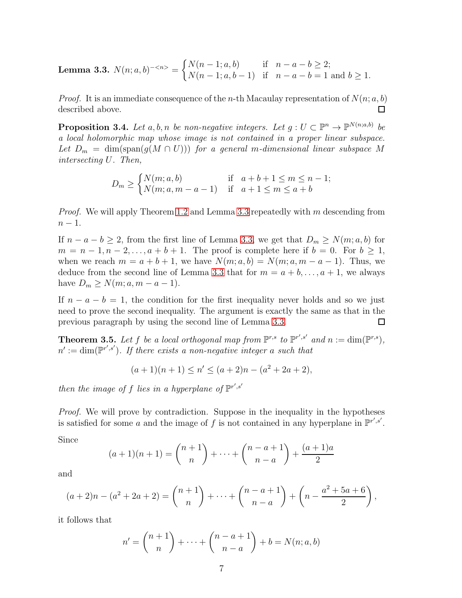<span id="page-6-1"></span>**Lemma 3.3.** 
$$
N(n;a,b)^{-\langle n \rangle} = \begin{cases} N(n-1;a,b) & \text{if } n-a-b \geq 2; \\ N(n-1;a,b-1) & \text{if } n-a-b=1 \text{ and } b \geq 1. \end{cases}
$$

*Proof.* It is an immediate consequence of the *n*-th Macaulay representation of  $N(n; a, b)$ described above. □

<span id="page-6-2"></span>**Proposition 3.4.** Let a, b, n be non-negative integers. Let  $g: U \subset \mathbb{P}^n \to \mathbb{P}^{N(n;a,b)}$  be a local holomorphic map whose image is not contained in a proper linear subspace. Let  $D_m = \dim(\text{span}(g(M \cap U)))$  for a general m-dimensional linear subspace M intersecting U. Then,

$$
D_m \ge \begin{cases} N(m;a,b) & \text{if } a+b+1 \le m \le n-1; \\ N(m;a,m-a-1) & \text{if } a+1 \le m \le a+b \end{cases}
$$

Proof. We will apply Theorem [1.2](#page-1-1) and Lemma [3.3](#page-6-1) repeatedly with m descending from  $n-1$ .

If  $n - a - b \ge 2$ , from the first line of Lemma [3.3,](#page-6-1) we get that  $D_m \ge N(m; a, b)$  for  $m = n - 1, n - 2, \ldots, a + b + 1$ . The proof is complete here if  $b = 0$ . For  $b \ge 1$ , when we reach  $m = a + b + 1$ , we have  $N(m; a, b) = N(m; a, m - a - 1)$ . Thus, we deduce from the second line of Lemma [3.3](#page-6-1) that for  $m = a + b, \ldots, a + 1$ , we always have  $D_m \geq N(m; a, m - a - 1)$ .

If  $n - a - b = 1$ , the condition for the first inequality never holds and so we just need to prove the second inequality. The argument is exactly the same as that in the previous paragraph by using the second line of Lemma [3.3.](#page-6-1)  $\Box$ 

<span id="page-6-0"></span>**Theorem 3.5.** Let f be a local orthogonal map from  $\mathbb{P}^{r,s}$  to  $\mathbb{P}^{r',s'}$  and  $n := \dim(\mathbb{P}^{r,s})$ ,  $n' := \dim(\mathbb{P}^{r',s'})$ . If there exists a non-negative integer a such that

$$
(a+1)(n+1) \le n' \le (a+2)n - (a^2 + 2a + 2),
$$

then the image of f lies in a hyperplane of  $\mathbb{P}^{r',s'}$ 

*Proof.* We will prove by contradiction. Suppose in the inequality in the hypotheses is satisfied for some a and the image of f is not contained in any hyperplane in  $\mathbb{P}^{r',s'}$ .

Since

$$
(a+1)(n+1) = \binom{n+1}{n} + \dots + \binom{n-a+1}{n-a} + \frac{(a+1)a}{2}
$$

and

$$
(a+2)n - (a^{2}+2a+2) = {n+1 \choose n} + \cdots + {n-a+1 \choose n-a} + \left(n - \frac{a^{2}+5a+6}{2}\right),
$$

it follows that

$$
n' = \binom{n+1}{n} + \dots + \binom{n-a+1}{n-a} + b = N(n; a, b)
$$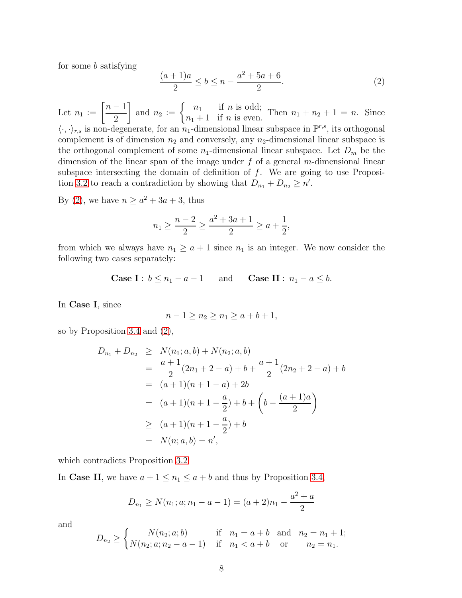for some b satisfying

<span id="page-7-0"></span>
$$
\frac{(a+1)a}{2} \le b \le n - \frac{a^2 + 5a + 6}{2}.\tag{2}
$$

Let  $n_1 := \left[\frac{n-1}{2}\right]$ 2 and  $n_2 := \begin{cases} n_1 & \text{if } n \text{ is odd;} \\ n_1 + 1 & \text{if } n \text{ is even.} \end{cases}$  $n_1 + 1$  if *n* is even. Then  $n_1 + n_2 + 1 = n$ . Since  $\langle \cdot, \cdot \rangle_{r,s}$  is non-degenerate, for an  $n_1$ -dimensional linear subspace in  $\mathbb{P}^{r,s}$ , its orthogonal complement is of dimension  $n_2$  and conversely, any  $n_2$ -dimensional linear subspace is the orthogonal complement of some  $n_1$ -dimensional linear subspace. Let  $D_m$  be the dimension of the linear span of the image under  $f$  of a general m-dimensional linear subspace intersecting the domain of definition of  $f$ . We are going to use Proposi-tion [3.2](#page-5-0) to reach a contradiction by showing that  $D_{n_1} + D_{n_2} \ge n'$ .

By [\(2\)](#page-7-0), we have  $n \ge a^2 + 3a + 3$ , thus

$$
n_1 \ge \frac{n-2}{2} \ge \frac{a^2 + 3a + 1}{2} \ge a + \frac{1}{2},
$$

from which we always have  $n_1 \geq a+1$  since  $n_1$  is an integer. We now consider the following two cases separately:

Case I: 
$$
b \le n_1 - a - 1
$$
 and Case II:  $n_1 - a \le b$ .

In Case I, since

$$
n - 1 \ge n_2 \ge n_1 \ge a + b + 1,
$$

so by Proposition [3.4](#page-6-2) and [\(2\)](#page-7-0),

$$
D_{n_1} + D_{n_2} \ge N(n_1; a, b) + N(n_2; a, b)
$$
  
= 
$$
\frac{a+1}{2}(2n_1 + 2 - a) + b + \frac{a+1}{2}(2n_2 + 2 - a) + b
$$
  
= 
$$
(a+1)(n+1-a) + 2b
$$
  
= 
$$
(a+1)(n+1-\frac{a}{2}) + b + \left(b - \frac{(a+1)a}{2}\right)
$$
  

$$
\ge (a+1)(n+1-\frac{a}{2}) + b
$$
  
= 
$$
N(n; a, b) = n',
$$

which contradicts Proposition [3.2.](#page-5-0)

In Case II, we have  $a + 1 \le n_1 \le a + b$  and thus by Proposition [3.4,](#page-6-2)

$$
D_{n_1} \ge N(n_1; a; n_1 - a - 1) = (a+2)n_1 - \frac{a^2 + a}{2}
$$

and

$$
D_{n_2} \ge \begin{cases} N(n_2; a; b) & \text{if } n_1 = a + b \text{ and } n_2 = n_1 + 1; \\ N(n_2; a; n_2 - a - 1) & \text{if } n_1 < a + b \text{ or } n_2 = n_1. \end{cases}
$$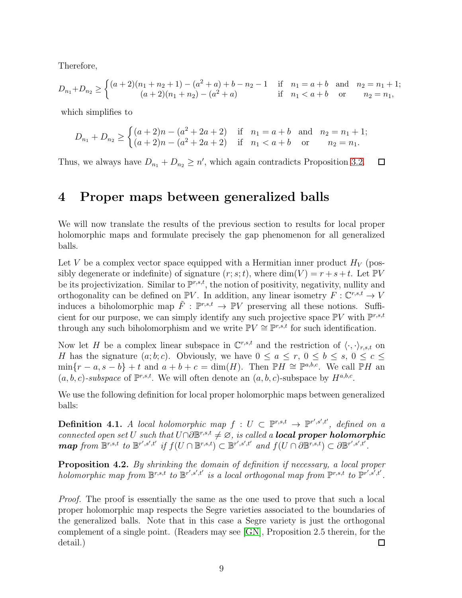Therefore,

$$
D_{n_1} + D_{n_2} \ge \begin{cases} (a+2)(n_1+n_2+1) - (a^2+a) + b - n_2 - 1 & \text{if } n_1 = a+b \text{ and } n_2 = n_1+1; \\ (a+2)(n_1+n_2) - (a^2+a) & \text{if } n_1 < a+b \text{ or } n_2 = n_1, \end{cases}
$$

which simplifies to

$$
D_{n_1} + D_{n_2} \ge \begin{cases} (a+2)n - (a^2 + 2a + 2) & \text{if } n_1 = a+b \text{ and } n_2 = n_1 + 1; \\ (a+2)n - (a^2 + 2a + 2) & \text{if } n_1 < a+b \text{ or } n_2 = n_1. \end{cases}
$$

<span id="page-8-0"></span>Thus, we always have  $D_{n_1} + D_{n_2} \ge n'$ , which again contradicts Proposition [3.2.](#page-5-0)  $\Box$ 

#### 4 Proper maps between generalized balls

We will now translate the results of the previous section to results for local proper holomorphic maps and formulate precisely the gap phenomenon for all generalized balls.

Let V be a complex vector space equipped with a Hermitian inner product  $H_V$  (possibly degenerate or indefinite) of signature  $(r; s; t)$ , where  $\dim(V) = r + s + t$ . Let PV be its projectivization. Similar to  $\mathbb{P}^{r,s,t}$ , the notion of positivity, negativity, nullity and orthogonality can be defined on  $\mathbb{P}V$ . In addition, any linear isometry  $F: \mathbb{C}^{r,s,t} \to V$ induces a biholomorphic map  $\tilde{F}$ :  $\mathbb{P}^{r,s,t} \to \mathbb{P}V$  preserving all these notions. Sufficient for our purpose, we can simply identify any such projective space  $\mathbb{P}V$  with  $\mathbb{P}^{r,s,t}$ through any such biholomorphism and we write  $\mathbb{P}V \cong \mathbb{P}^{r,s,t}$  for such identification.

Now let H be a complex linear subspace in  $\mathbb{C}^{r,s,t}$  and the restriction of  $\langle \cdot, \cdot \rangle_{r,s,t}$  on H has the signature  $(a; b; c)$ . Obviously, we have  $0 \le a \le r, 0 \le b \le s, 0 \le c \le$  $\min\{r-a, s-b\}+t$  and  $a+b+c=\dim(H)$ . Then  $\mathbb{P}H \cong \mathbb{P}^{a,b,c}$ . We call  $\mathbb{P}H$  and  $(a, b, c)$ -subspace of  $\mathbb{P}^{r,s,t}$ . We will often denote an  $(a, b, c)$ -subspace by  $H^{a,b,c}$ .

We use the following definition for local proper holomorphic maps between generalized balls:

**Definition 4.1.** A local holomorphic map  $f: U \subset \mathbb{P}^{r,s,t} \to \mathbb{P}^{r',s',t'}$ , defined on a connected open set U such that  $U\cap\partial\mathbb{B}^{r,s,t}\neq\emptyset$ , is called a **local proper holomorphic**  $\boldsymbol{map}$  from  $\mathbb{B}^{r,s,t}$  to  $\mathbb{B}^{r',s',t'}$  if  $f(U \cap \mathbb{B}^{r,s,t}) \subset \mathbb{B}^{r',s',t'}$  and  $f(U \cap \partial \mathbb{B}^{r,s,t}) \subset \partial \mathbb{B}^{r',s',t'}$ .

**Proposition 4.2.** By shrinking the domain of definition if necessary, a local proper holomorphic map from  $\mathbb{B}^{r,s,t}$  to  $\mathbb{B}^{r',s',t'}$  is a local orthogonal map from  $\mathbb{P}^{r,s,t}$  to  $\mathbb{P}^{r',s',t'}$ .

Proof. The proof is essentially the same as the one used to prove that such a local proper holomorphic map respects the Segre varieties associated to the boundaries of the generalized balls. Note that in this case a Segre variety is just the orthogonal complement of a single point. (Readers may see [\[GN\]](#page-11-4), Proposition 2.5 therein, for the detail.)  $\Box$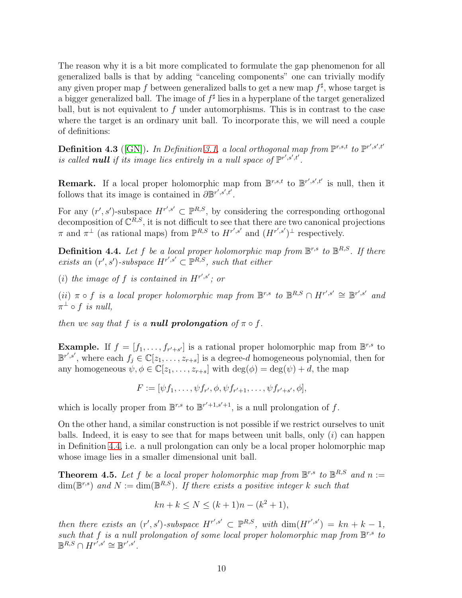The reason why it is a bit more complicated to formulate the gap phenomenon for all generalized balls is that by adding "canceling components" one can trivially modify any given proper map f between generalized balls to get a new map  $f^{\sharp}$ , whose target is a bigger generalized ball. The image of  $f^{\sharp}$  lies in a hyperplane of the target generalized ball, but is not equivalent to  $f$  under automorphisms. This is in contrast to the case where the target is an ordinary unit ball. To incorporate this, we will need a couple of definitions:

**Definition 4.3** ([\[GN\]](#page-11-4)). In Definition [3.1,](#page-5-1) a local orthogonal map from  $\mathbb{P}^{r,s,t}$  to  $\mathbb{P}^{r',s',t'}$ is called **null** if its image lies entirely in a null space of  $\mathbb{P}^{r',s',t'}$ .

**Remark.** If a local proper holomorphic map from  $\mathbb{B}^{r,s,t}$  to  $\mathbb{B}^{r',s',t'}$  is null, then it follows that its image is contained in  $\partial \mathbb{B}^{r',s',t'}$ .

For any  $(r', s')$ -subspace  $H^{r', s'} \subset \mathbb{P}^{R, S}$ , by considering the corresponding orthogonal decomposition of  $\mathbb{C}^{R,S}$ , it is not difficult to see that there are two canonical projections  $\pi$  and  $\pi^{\perp}$  (as rational maps) from  $\mathbb{P}^{R,S}$  to  $H^{r',s'}$  and  $(H^{r',s'})^{\perp}$  respectively.

<span id="page-9-1"></span>**Definition 4.4.** Let f be a local proper holomorphic map from  $\mathbb{B}^{r,s}$  to  $\mathbb{B}^{R,S}$ . If there exists an  $(r', s')$ -subspace  $H^{r', s'} \subset \mathbb{P}^{R, S}$ , such that either

(i) the image of f is contained in  $H^{r',s'}$ ; or

(ii)  $\pi \circ f$  is a local proper holomorphic map from  $\mathbb{B}^{r,s}$  to  $\mathbb{B}^{R,S} \cap H^{r',s'} \cong \mathbb{B}^{r',s'}$  and  $\pi^{\perp} \circ f$  is null,

then we say that f is a **null prolongation** of  $\pi \circ f$ .

**Example.** If  $f = [f_1, \ldots, f_{r'+s'}]$  is a rational proper holomorphic map from  $\mathbb{B}^{r,s}$  to  $\mathbb{B}^{r',s'}$ , where each  $f_j \in \mathbb{C}[z_1,\ldots,z_{r+s}]$  is a degree-d homogeneous polynomial, then for any homogeneous  $\psi, \phi \in \mathbb{C}[z_1, \ldots, z_{r+s}]$  with  $\deg(\phi) = \deg(\psi) + d$ , the map

 $F := [\psi f_1, \dots, \psi f_{r'}, \phi, \psi f_{r'+1}, \dots, \psi f_{r'+s'}, \phi],$ 

which is locally proper from  $\mathbb{B}^{r,s}$  to  $\mathbb{B}^{r'+1,s'+1}$ , is a null prolongation of f.

On the other hand, a similar construction is not possible if we restrict ourselves to unit balls. Indeed, it is easy to see that for maps between unit balls, only  $(i)$  can happen in Definition [4.4,](#page-9-1) i.e. a null prolongation can only be a local proper holomorphic map whose image lies in a smaller dimensional unit ball.

<span id="page-9-0"></span>**Theorem 4.5.** Let f be a local proper holomorphic map from  $\mathbb{B}^{r,s}$  to  $\mathbb{B}^{R,S}$  and  $n :=$  $\dim(\mathbb{B}^{r,s})$  and  $N := \dim(\mathbb{B}^{R,S})$ . If there exists a positive integer k such that

$$
kn + k \le N \le (k+1)n - (k^2 + 1),
$$

then there exists an  $(r', s')$ -subspace  $H^{r', s'} \subset \mathbb{P}^{R,S}$ , with  $\dim(H^{r', s'}) = kn + k - 1$ , such that f is a null prolongation of some local proper holomorphic map from  $\mathbb{B}^{r,s}$  to  $\mathbb{B}^{R,S} \cap H^{r^{\prime},s^{\prime}} \cong \mathbb{B}^{r^{\prime},s^{\prime}}.$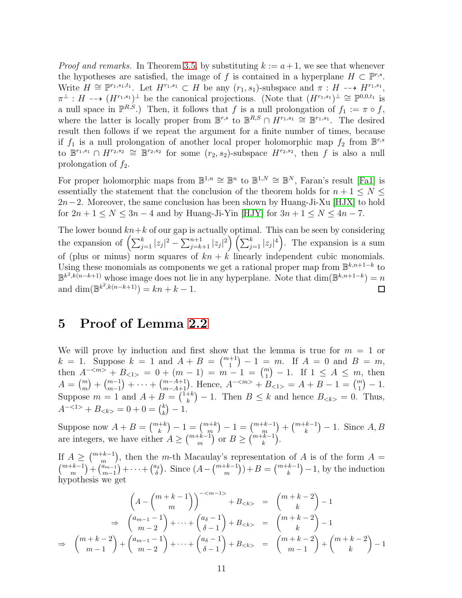*Proof and remarks.* In Theorem [3.5,](#page-6-0) by substituting  $k := a + 1$ , we see that whenever the hypotheses are satisfied, the image of f is contained in a hyperplane  $H \subset \mathbb{P}^{r,s}$ . Write  $H \cong \mathbb{P}^{r_1,s_1,t_1}$ . Let  $H^{r_1,s_1} \subset H$  be any  $(r_1,s_1)$ -subspace and  $\pi : H \dashrightarrow H^{r_1,s_1}$ ,  $\pi^{\perp}: H \dashrightarrow (H^{r_1,s_1})^{\perp}$  be the canonical projections. (Note that  $(H^{r_1,s_1})^{\perp} \cong \mathbb{P}^{0,0,t_1}$  is a null space in  $\mathbb{P}^{R,S}$ .) Then, it follows that f is a null prolongation of  $f_1 := \pi \circ f$ , where the latter is locally proper from  $\mathbb{B}^{r,s}$  to  $\mathbb{B}^{R,S} \cap H^{r_1,s_1} \cong \mathbb{B}^{r_1,s_1}$ . The desired result then follows if we repeat the argument for a finite number of times, because if  $f_1$  is a null prolongation of another local proper holomorphic map  $f_2$  from  $\mathbb{B}^{r,s}$ to  $\mathbb{B}^{r_1,s_1} \cap H^{r_2,s_2} \cong \mathbb{B}^{r_2,s_2}$  for some  $(r_2,s_2)$ -subspace  $H^{r_2,s_2}$ , then f is also a null prolongation of  $f_2$ .

For proper holomorphic maps from  $\mathbb{B}^{1,n} \cong \mathbb{B}^n$  to  $\mathbb{B}^{1,N} \cong \mathbb{B}^N$ , Faran's result [\[Fa1\]](#page-11-0) is essentially the statement that the conclusion of the theorem holds for  $n + 1 \leq N \leq$  $2n-2$ . Moreover, the same conclusion has been shown by Huang-Ji-Xu [\[HJX\]](#page-11-1) to hold for  $2n + 1 \le N \le 3n - 4$  and by Huang-Ji-Yin [\[HJY\]](#page-11-2) for  $3n + 1 \le N \le 4n - 7$ .

The lower bound  $kn+k$  of our gap is actually optimal. This can be seen by considering the expansion of  $\left(\sum_{j=1}^k |z_j|^2 - \sum_{j=k+1}^{n+1} |z_j|^2\right) \left(\sum_{j=1}^k |z_j|^4\right)$ . The expansion is a sum of (plus or minus) norm squares of  $kn + k$  linearly independent cubic monomials. Using these monomials as components we get a rational proper map from  $\mathbb{B}^{k,n+1-k}$  to  $\mathbb{B}^{k^2, k(n-k+1)}$  whose image does not lie in any hyperplane. Note that  $\dim(\mathbb{B}^{k,n+1-k})=n$ and  $\dim(\mathbb{B}^{k^2, k(n-k+1)}) = kn + k - 1.$  $\Box$ 

#### <span id="page-10-0"></span>5 Proof of Lemma [2.2](#page-3-0)

We will prove by induction and first show that the lemma is true for  $m = 1$  or  $k = 1$ . Suppose  $k = 1$  and  $A + B = \binom{m+1}{1} - 1 = m$ . If  $A = 0$  and  $B = m$ , then  $A^{-\langle m \rangle} + B_{\langle 1 \rangle} = 0 + (m-1) = m-1 = {m \choose 1} - 1$ . If  $1 \leq A \leq m$ , then  $A = {m \choose m} + {m-1 \choose m-1} + \cdots + {m-A+1 \choose m-A+1}$ . Hence,  $A^{-\langle m \rangle} + B_{\langle n \rangle} = A + B - 1 = {m \choose 1} - 1$ . Suppose  $m = 1$  and  $A + B = \binom{1+k}{k}$  ${k \choose k} - 1$ . Then  $B \leq k$  and hence  $B_{< k>} = 0$ . Thus,  $A^{-1>} + B_{< k>} = 0 + 0 = \binom{k}{k}$  $\binom{k}{k} - 1.$ 

Suppose now  $A + B = \binom{m+k}{k} - 1 = \binom{m+k}{m} - 1 = \binom{m+k-1}{m} + \binom{m+k-1}{k} - 1$ . Since  $A, B$ are integers, we have either  $A \geq {m+k-1 \choose m}$  or  $B \geq {m+k-1 \choose k}$ .

If  $A \geq {m+k-1 \choose m}$ , then the m-th Macaulay's representation of A is of the form  $A =$  $\binom{m+k-1}{m} + \binom{a_{m-1}}{m-1} + \cdots + \binom{a_{\delta}}{\delta}$  $\binom{a_5}{\delta}$ . Since  $(A - \binom{m+k-1}{m}) + B = \binom{m+k-1}{k} - 1$ , by the induction hypothesis we get

$$
\left(A - \binom{m+k-1}{m}\right)^{-\langle m-1 \rangle} + B_{< k>} = \binom{m+k-2}{k} - 1
$$
\n
$$
\Rightarrow \binom{a_{m-1}-1}{m-2} + \dots + \binom{a_{\delta}-1}{\delta-1} + B_{< k>} = \binom{m+k-2}{k} - 1
$$
\n
$$
\Rightarrow \binom{m+k-2}{m-1} + \binom{a_{m-1}-1}{m-2} + \dots + \binom{a_{\delta}-1}{\delta-1} + B_{< k>} = \binom{m+k-2}{m-1} + \binom{m+k-2}{k} - 1
$$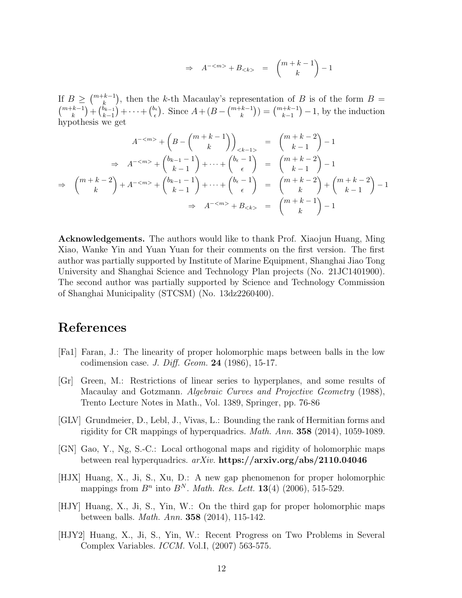$$
\Rightarrow A^{-} + B_{} = \binom{m+k-1}{k} - 1
$$

If  $B \geq {m+k-1 \choose k}$ , then the k-th Macaulay's representation of B is of the form  $B =$  $\binom{m+k-1}{k}$  +  $\binom{b_{k-1}}{k-1}$  +  $\cdots$  +  $\binom{b_{\epsilon}}{\epsilon}$  $\binom{b_{\epsilon}}{\epsilon}$ . Since  $A + (B - \binom{m+k-1}{k}) = \binom{m+k-1}{k-1} - 1$ , by the induction hypothesis we

$$
A^{-} + \left(B - \binom{m+k-1}{k}\right)_{< k-1>} = \binom{m+k-2}{k-1} - 1
$$
  
\n
$$
\Rightarrow A^{-} + \binom{b_{k-1}-1}{k-1} + \dots + \binom{b_{\epsilon}-1}{\epsilon} = \binom{m+k-2}{k-1} - 1
$$
  
\n
$$
\Rightarrow \binom{m+k-2}{k} + A^{-} + \binom{b_{k-1}-1}{k-1} + \dots + \binom{b_{\epsilon}-1}{\epsilon} = \binom{m+k-2}{k} + \binom{m+k-2}{k-1} - 1
$$
  
\n
$$
\Rightarrow A^{-} + B_{< k>} = \binom{m+k-1}{k} - 1
$$

Acknowledgements. The authors would like to thank Prof. Xiaojun Huang, Ming Xiao, Wanke Yin and Yuan Yuan for their comments on the first version. The first author was partially supported by Institute of Marine Equipment, Shanghai Jiao Tong University and Shanghai Science and Technology Plan projects (No. 21JC1401900). The second author was partially supported by Science and Technology Commission of Shanghai Municipality (STCSM) (No. 13dz2260400).

### References

- <span id="page-11-0"></span>[Fa1] Faran, J.: The linearity of proper holomorphic maps between balls in the low codimension case. J. Diff. Geom.  $24$  (1986), 15-17.
- <span id="page-11-5"></span>[Gr] Green, M.: Restrictions of linear series to hyperplanes, and some results of Macaulay and Gotzmann. Algebraic Curves and Projective Geometry (1988), Trento Lecture Notes in Math., Vol. 1389, Springer, pp. 76-86
- <span id="page-11-6"></span>[GLV] Grundmeier, D., Lebl, J., Vivas, L.: Bounding the rank of Hermitian forms and rigidity for CR mappings of hyperquadrics. Math. Ann. 358 (2014), 1059-1089.
- <span id="page-11-4"></span>[GN] Gao, Y., Ng, S.-C.: Local orthogonal maps and rigidity of holomorphic maps between real hyperquadrics. arXiv. https://arxiv.org/abs/2110.04046
- <span id="page-11-1"></span>[HJX] Huang, X., Ji, S., Xu, D.: A new gap phenomenon for proper holomorphic mappings from  $B<sup>n</sup>$  into  $B<sup>N</sup>$ . *Math. Res. Lett.* **13**(4) (2006), 515-529.
- <span id="page-11-2"></span>[HJY] Huang, X., Ji, S., Yin, W.: On the third gap for proper holomorphic maps between balls. Math. Ann. 358 (2014), 115-142.
- <span id="page-11-3"></span>[HJY2] Huang, X., Ji, S., Yin, W.: Recent Progress on Two Problems in Several Complex Variables. ICCM. Vol.I, (2007) 563-575.